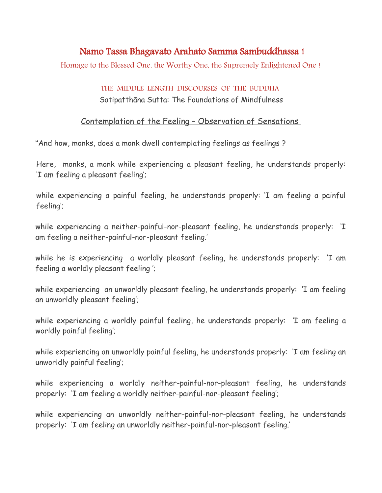## Namo Tassa Bhagavato Arahato Samma Sambuddhassa !

Homage to the Blessed One, the Worthy One, the Supremely Enlightened One !

## THE MIDDLE LENGTH DISCOURSES OF THE BUDDHA

Satipatthāna Sutta: The Foundations of Mindfulness

## Contemplation of the Feeling – Observation of Sensations

"And how, monks, does a monk dwell contemplating feelings as feelings ?

Here, monks, a monk while experiencing a pleasant feeling, he understands properly: 'I am feeling a pleasant feeling';

while experiencing a painful feeling, he understands properly: 'I am feeling a painful feeling';

while experiencing a neither-painful-nor-pleasant feeling, he understands properly: 'I am feeling a neither-painful-nor-pleasant feeling.'

while he is experiencing a worldly pleasant feeling, he understands properly: 'I am feeling a worldly pleasant feeling ';

while experiencing an unworldly pleasant feeling, he understands properly: 'I am feeling an unworldly pleasant feeling';

while experiencing a worldly painful feeling, he understands properly: 'I am feeling a worldly painful feeling';

while experiencing an unworldly painful feeling, he understands properly: 'I am feeling an unworldly painful feeling';

while experiencing a worldly neither-painful-nor-pleasant feeling, he understands properly: 'I am feeling a worldly neither-painful-nor-pleasant feeling';

while experiencing an unworldly neither-painful-nor-pleasant feeling, he understands properly: 'I am feeling an unworldly neither-painful-nor-pleasant feeling.'